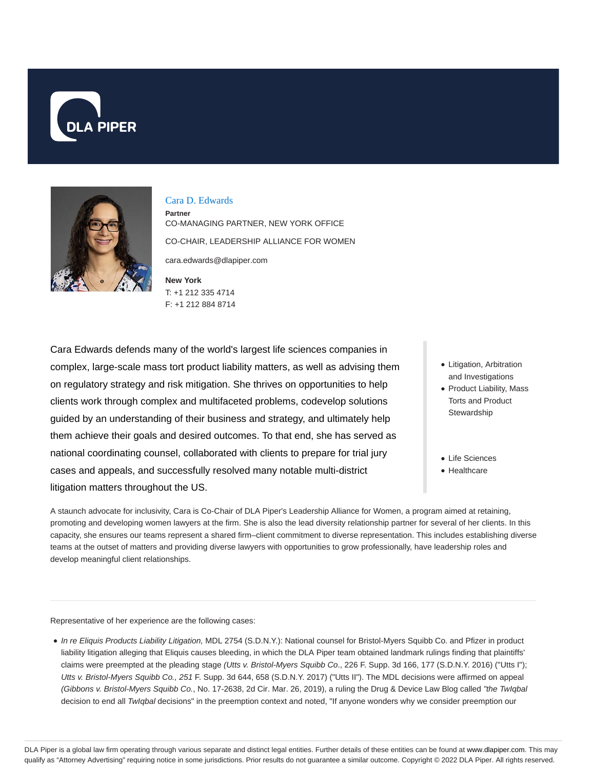



#### Cara D. Edwards

**Partner** CO-MANAGING PARTNER, NEW YORK OFFICE CO-CHAIR, LEADERSHIP ALLIANCE FOR WOMEN cara.edwards@dlapiper.com

**New York** T: +1 212 335 4714 F: +1 212 884 8714

Cara Edwards defends many of the world's largest life sciences companies in complex, large-scale mass tort product liability matters, as well as advising them on regulatory strategy and risk mitigation. She thrives on opportunities to help clients work through complex and multifaceted problems, codevelop solutions guided by an understanding of their business and strategy, and ultimately help them achieve their goals and desired outcomes. To that end, she has served as national coordinating counsel, collaborated with clients to prepare for trial jury cases and appeals, and successfully resolved many notable multi-district litigation matters throughout the US.

- Litigation, Arbitration and Investigations
- Product Liability, Mass Torts and Product **Stewardship**
- Life Sciences
- Healthcare

A staunch advocate for inclusivity, Cara is Co-Chair of DLA Piper's Leadership Alliance for Women, a program aimed at retaining, promoting and developing women lawyers at the firm. She is also the lead diversity relationship partner for several of her clients. In this capacity, she ensures our teams represent a shared firm–client commitment to diverse representation. This includes establishing diverse teams at the outset of matters and providing diverse lawyers with opportunities to grow professionally, have leadership roles and develop meaningful client relationships.

Representative of her experience are the following cases:

• In re Eliquis Products Liability Litigation, MDL 2754 (S.D.N.Y.): National counsel for Bristol-Myers Squibb Co. and Pfizer in product liability litigation alleging that Eliquis causes bleeding, in which the DLA Piper team obtained landmark rulings finding that plaintiffs' claims were preempted at the pleading stage (Utts v. Bristol-Myers Squibb Co., 226 F. Supp. 3d 166, 177 (S.D.N.Y. 2016) ("Utts I"); Utts v. Bristol-Myers Squibb Co., 251 F. Supp. 3d 644, 658 (S.D.N.Y. 2017) ("Utts II"). The MDL decisions were affirmed on appeal (Gibbons v. Bristol-Myers Squibb Co., No. 17-2638, 2d Cir. Mar. 26, 2019), a ruling the Drug & Device Law Blog called "the TwIqbal decision to end all TwIqbal decisions" in the preemption context and noted, "If anyone wonders why we consider preemption our

DLA Piper is a global law firm operating through various separate and distinct legal entities. Further details of these entities can be found at www.dlapiper.com. This may qualify as "Attorney Advertising" requiring notice in some jurisdictions. Prior results do not guarantee a similar outcome. Copyright © 2022 DLA Piper. All rights reserved.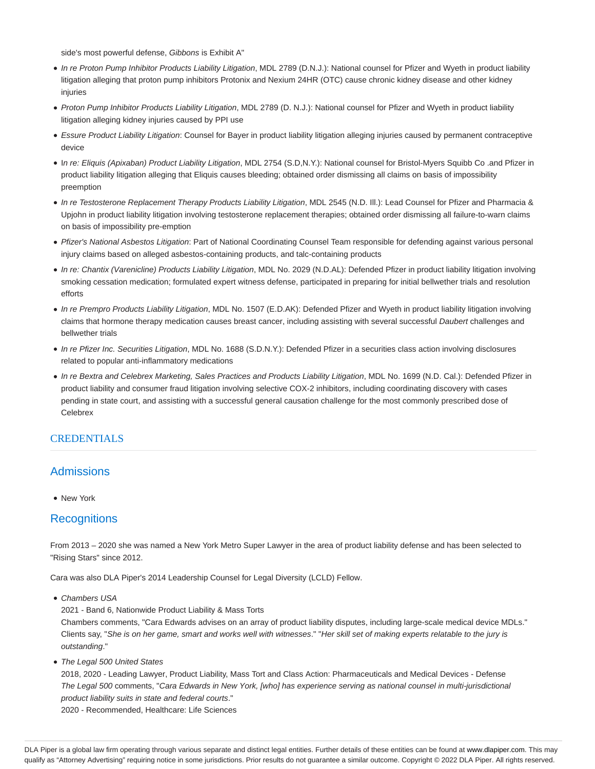side's most powerful defense, Gibbons is Exhibit A"

- In re Proton Pump Inhibitor Products Liability Litigation, MDL 2789 (D.N.J.): National counsel for Pfizer and Wyeth in product liability litigation alleging that proton pump inhibitors Protonix and Nexium 24HR (OTC) cause chronic kidney disease and other kidney injuries
- Proton Pump Inhibitor Products Liability Litigation, MDL 2789 (D. N.J.): National counsel for Pfizer and Wyeth in product liability litigation alleging kidney injuries caused by PPI use
- Essure Product Liability Litigation: Counsel for Bayer in product liability litigation alleging injuries caused by permanent contraceptive device
- In re: Eliquis (Apixaban) Product Liability Litigation, MDL 2754 (S.D,N.Y.): National counsel for Bristol-Myers Squibb Co .and Pfizer in product liability litigation alleging that Eliquis causes bleeding; obtained order dismissing all claims on basis of impossibility preemption
- In re Testosterone Replacement Therapy Products Liability Litigation, MDL 2545 (N.D. Ill.): Lead Counsel for Pfizer and Pharmacia & Upjohn in product liability litigation involving testosterone replacement therapies; obtained order dismissing all failure-to-warn claims on basis of impossibility pre-emption
- Pfizer's National Asbestos Litigation: Part of National Coordinating Counsel Team responsible for defending against various personal injury claims based on alleged asbestos-containing products, and talc-containing products
- In re: Chantix (Varenicline) Products Liability Litigation, MDL No. 2029 (N.D.AL): Defended Pfizer in product liability litigation involving smoking cessation medication; formulated expert witness defense, participated in preparing for initial bellwether trials and resolution efforts
- In re Prempro Products Liability Litigation, MDL No. 1507 (E.D.AK): Defended Pfizer and Wyeth in product liability litigation involving claims that hormone therapy medication causes breast cancer, including assisting with several successful Daubert challenges and bellwether trials
- In re Pfizer Inc. Securities Litigation, MDL No. 1688 (S.D.N.Y.): Defended Pfizer in a securities class action involving disclosures related to popular anti-inflammatory medications
- In re Bextra and Celebrex Marketing, Sales Practices and Products Liability Litigation, MDL No. 1699 (N.D. Cal.): Defended Pfizer in product liability and consumer fraud litigation involving selective COX-2 inhibitors, including coordinating discovery with cases pending in state court, and assisting with a successful general causation challenge for the most commonly prescribed dose of **Celebrex**

### **CREDENTIALS**

# **Admissions**

• New York

# **Recognitions**

From 2013 – 2020 she was named a New York Metro Super Lawyer in the area of product liability defense and has been selected to "Rising Stars" since 2012.

Cara was also DLA Piper's 2014 Leadership Counsel for Legal Diversity (LCLD) Fellow.

• Chambers USA

2021 - Band 6, Nationwide Product Liability & Mass Torts

Chambers comments, "Cara Edwards advises on an array of product liability disputes, including large-scale medical device MDLs." Clients say, "She is on her game, smart and works well with witnesses." "Her skill set of making experts relatable to the jury is outstanding."

• The Legal 500 United States

2018, 2020 - Leading Lawyer, Product Liability, Mass Tort and Class Action: Pharmaceuticals and Medical Devices - Defense The Legal 500 comments, "Cara Edwards in New York, [who] has experience serving as national counsel in multi-jurisdictional product liability suits in state and federal courts."

2020 - Recommended, Healthcare: Life Sciences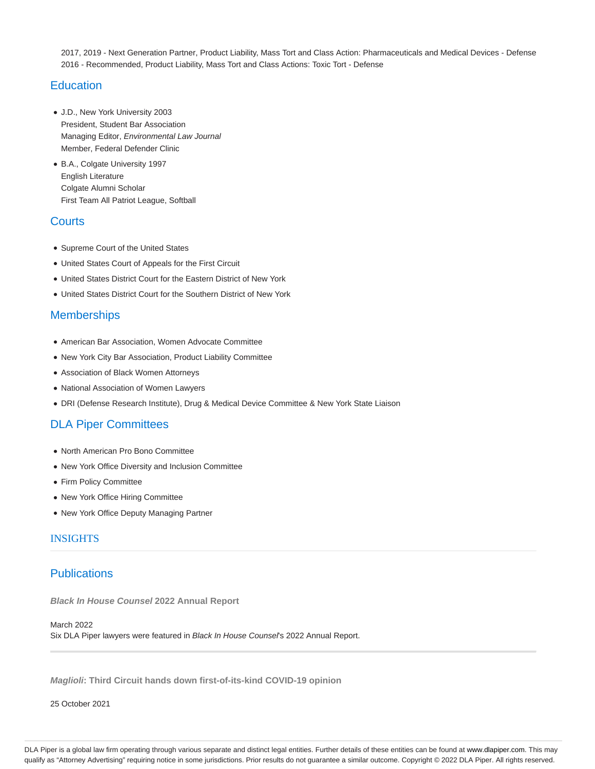2017, 2019 - Next Generation Partner, Product Liability, Mass Tort and Class Action: Pharmaceuticals and Medical Devices - Defense 2016 - Recommended, Product Liability, Mass Tort and Class Actions: Toxic Tort - Defense

# **Education**

- J.D., New York University 2003 President, Student Bar Association Managing Editor, Environmental Law Journal Member, Federal Defender Clinic
- B.A., Colgate University 1997 English Literature Colgate Alumni Scholar First Team All Patriot League, Softball

# **Courts**

- Supreme Court of the United States
- United States Court of Appeals for the First Circuit
- United States District Court for the Eastern District of New York
- United States District Court for the Southern District of New York

# **Memberships**

- American Bar Association, Women Advocate Committee
- New York City Bar Association, Product Liability Committee
- Association of Black Women Attorneys
- National Association of Women Lawyers
- DRI (Defense Research Institute), Drug & Medical Device Committee & New York State Liaison

# DLA Piper Committees

- North American Pro Bono Committee
- New York Office Diversity and Inclusion Committee
- Firm Policy Committee
- New York Office Hiring Committee
- New York Office Deputy Managing Partner

# INSIGHTS

# **Publications**

**Black In House Counsel 2022 Annual Report**

March 2022 Six DLA Piper lawyers were featured in Black In House Counsel's 2022 Annual Report.

**Maglioli: Third Circuit hands down first-of-its-kind COVID-19 opinion**

25 October 2021

DLA Piper is a global law firm operating through various separate and distinct legal entities. Further details of these entities can be found at www.dlapiper.com. This may qualify as "Attorney Advertising" requiring notice in some jurisdictions. Prior results do not guarantee a similar outcome. Copyright @ 2022 DLA Piper. All rights reserved.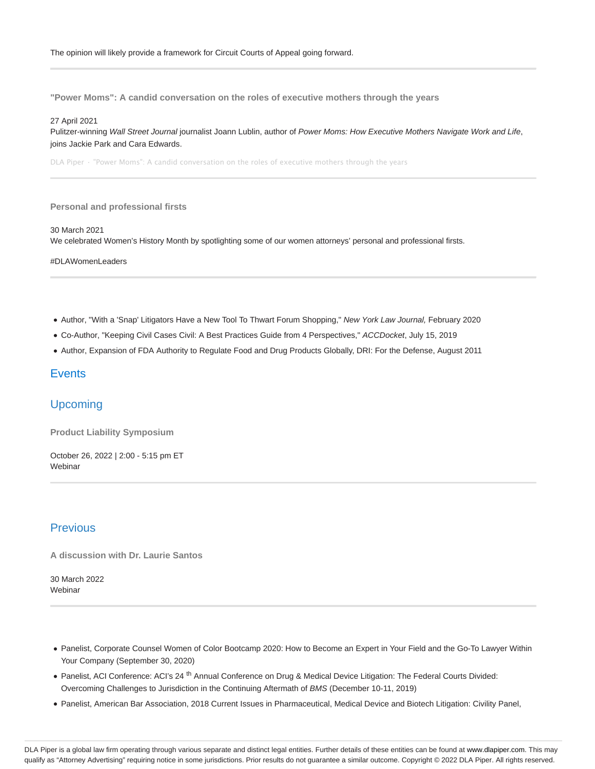**"Power Moms": A candid conversation on the roles of executive mothers through the years**

#### 27 April 2021

Pulitzer-winning Wall Street Journal journalist Joann Lublin, author of Power Moms: How Executive Mothers Navigate Work and Life, joins Jackie Park and Cara Edwards.

DLA Piper · "Power Moms": A candid conversation on the roles of executive mothers through the years

#### **Personal and professional firsts**

30 March 2021

We celebrated Women's History Month by spotlighting some of our women attorneys' personal and professional firsts.

#DLAWomenLeaders

- Author, "With a 'Snap' Litigators Have a New Tool To Thwart Forum Shopping," New York Law Journal, February 2020
- Co-Author, "Keeping Civil Cases Civil: A Best Practices Guide from 4 Perspectives," ACCDocket, July 15, 2019
- Author, Expansion of FDA Authority to Regulate Food and Drug Products Globally, DRI: For the Defense, August 2011

### **Events**

## Upcoming

**Product Liability Symposium**

October 26, 2022 | 2:00 - 5:15 pm ET Webinar

# Previous

**A discussion with Dr. Laurie Santos**

30 March 2022 **Webinar** 

- Panelist, Corporate Counsel Women of Color Bootcamp 2020: How to Become an Expert in Your Field and the Go-To Lawyer Within Your Company (September 30, 2020)
- Panelist, ACI Conference: ACI's 24<sup>th</sup> Annual Conference on Drug & Medical Device Litigation: The Federal Courts Divided: Overcoming Challenges to Jurisdiction in the Continuing Aftermath of BMS (December 10-11, 2019)
- Panelist, American Bar Association, 2018 Current Issues in Pharmaceutical, Medical Device and Biotech Litigation: Civility Panel,

DLA Piper is a global law firm operating through various separate and distinct legal entities. Further details of these entities can be found at www.dlapiper.com. This may qualify as "Attorney Advertising" requiring notice in some jurisdictions. Prior results do not guarantee a similar outcome. Copyright © 2022 DLA Piper. All rights reserved.